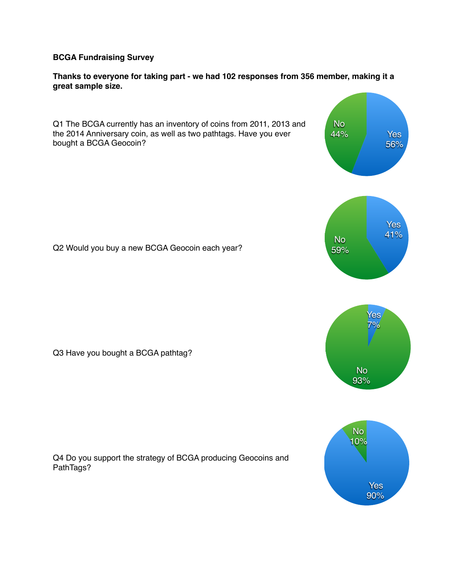**BCGA Fundraising Survey**

**Thanks to everyone for taking part - we had 102 responses from 356 member, making it a great sample size.**

Q1 The BCGA currently has an inventory of coins from 2011, 2013 and the 2014 Anniversary coin, as well as two pathtags. Have you ever bought a BCGA Geocoin? Q2 Would you buy a new BCGA Geocoin each year? Q3 Have you bought a BCGA pathtag? Q4 Do you support the strategy of BCGA producing Geocoins and PathTags? No 44% Yes 56% No 59% Yes 41% No 93% Yes 7% No 10% Yes 90%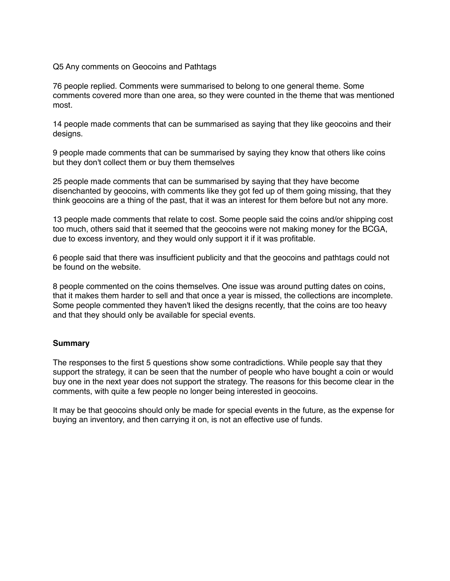Q5 Any comments on Geocoins and Pathtags

76 people replied. Comments were summarised to belong to one general theme. Some comments covered more than one area, so they were counted in the theme that was mentioned most.

14 people made comments that can be summarised as saying that they like geocoins and their designs.

9 people made comments that can be summarised by saying they know that others like coins but they don't collect them or buy them themselves

25 people made comments that can be summarised by saying that they have become disenchanted by geocoins, with comments like they got fed up of them going missing, that they think geocoins are a thing of the past, that it was an interest for them before but not any more.

13 people made comments that relate to cost. Some people said the coins and/or shipping cost too much, others said that it seemed that the geocoins were not making money for the BCGA, due to excess inventory, and they would only support it if it was profitable.

6 people said that there was insufficient publicity and that the geocoins and pathtags could not be found on the website.

8 people commented on the coins themselves. One issue was around putting dates on coins, that it makes them harder to sell and that once a year is missed, the collections are incomplete. Some people commented they haven't liked the designs recently, that the coins are too heavy and that they should only be available for special events.

## **Summary**

The responses to the first 5 questions show some contradictions. While people say that they support the strategy, it can be seen that the number of people who have bought a coin or would buy one in the next year does not support the strategy. The reasons for this become clear in the comments, with quite a few people no longer being interested in geocoins.

It may be that geocoins should only be made for special events in the future, as the expense for buying an inventory, and then carrying it on, is not an effective use of funds.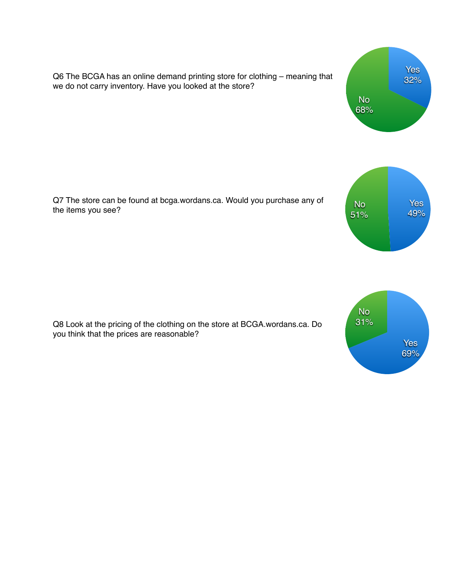Q6 The BCGA has an online demand printing store for clothing – meaning that we do not carry inventory. Have you looked at the store?

Q7 The store can be found at bcga.wordans.ca. Would you purchase any of the items you see?

Q8 Look at the pricing of the clothing on the store at BCGA.wordans.ca. Do you think that the prices are reasonable?







Yes 49%

No 51%

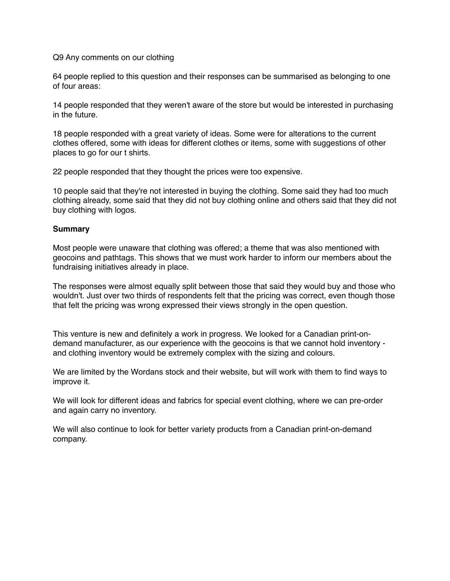Q9 Any comments on our clothing

64 people replied to this question and their responses can be summarised as belonging to one of four areas:

14 people responded that they weren't aware of the store but would be interested in purchasing in the future.

18 people responded with a great variety of ideas. Some were for alterations to the current clothes offered, some with ideas for different clothes or items, some with suggestions of other places to go for our t shirts.

22 people responded that they thought the prices were too expensive.

10 people said that they're not interested in buying the clothing. Some said they had too much clothing already, some said that they did not buy clothing online and others said that they did not buy clothing with logos.

## **Summary**

Most people were unaware that clothing was offered; a theme that was also mentioned with geocoins and pathtags. This shows that we must work harder to inform our members about the fundraising initiatives already in place.

The responses were almost equally split between those that said they would buy and those who wouldn't. Just over two thirds of respondents felt that the pricing was correct, even though those that felt the pricing was wrong expressed their views strongly in the open question.

This venture is new and definitely a work in progress. We looked for a Canadian print-ondemand manufacturer, as our experience with the geocoins is that we cannot hold inventory and clothing inventory would be extremely complex with the sizing and colours.

We are limited by the Wordans stock and their website, but will work with them to find ways to improve it.

We will look for different ideas and fabrics for special event clothing, where we can pre-order and again carry no inventory.

We will also continue to look for better variety products from a Canadian print-on-demand company.